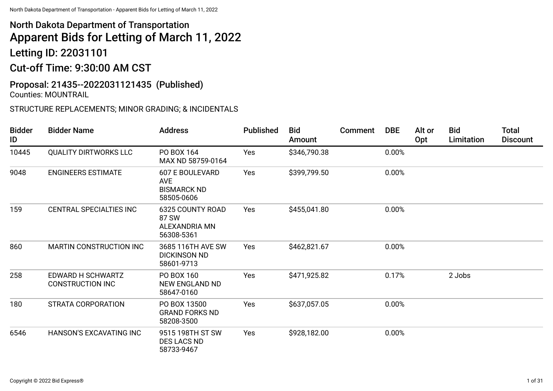# North Dakota Department of Transportation Apparent Bids for Letting of March 11, 2022 Letting ID: 22031101

Cut-off Time: 9:30:00 AM CST

#### Proposal: 21435--2022031121435 (Published) Counties: MOUNTRAIL

### STRUCTURE REPLACEMENTS; MINOR GRADING; & INCIDENTALS

| <b>Bidder</b><br>ID | <b>Bidder Name</b>                           | <b>Address</b>                                                           | <b>Published</b> | <b>Bid</b><br>Amount | Comment | <b>DBE</b> | Alt or<br>Opt | <b>Bid</b><br>Limitation | <b>Total</b><br><b>Discount</b> |
|---------------------|----------------------------------------------|--------------------------------------------------------------------------|------------------|----------------------|---------|------------|---------------|--------------------------|---------------------------------|
| 10445               | <b>QUALITY DIRTWORKS LLC</b>                 | PO BOX 164<br>MAX ND 58759-0164                                          | Yes              | \$346,790.38         |         | 0.00%      |               |                          |                                 |
| 9048                | <b>ENGINEERS ESTIMATE</b>                    | <b>607 E BOULEVARD</b><br><b>AVE</b><br><b>BISMARCK ND</b><br>58505-0606 | Yes              | \$399,799.50         |         | 0.00%      |               |                          |                                 |
| 159                 | CENTRAL SPECIALTIES INC                      | 6325 COUNTY ROAD<br>87 SW<br><b>ALEXANDRIA MN</b><br>56308-5361          | Yes              | \$455,041.80         |         | 0.00%      |               |                          |                                 |
| 860                 | MARTIN CONSTRUCTION INC                      | 3685 116TH AVE SW<br><b>DICKINSON ND</b><br>58601-9713                   | Yes              | \$462,821.67         |         | 0.00%      |               |                          |                                 |
| 258                 | EDWARD H SCHWARTZ<br><b>CONSTRUCTION INC</b> | PO BOX 160<br><b>NEW ENGLAND ND</b><br>58647-0160                        | Yes              | \$471,925.82         |         | 0.17%      |               | 2 Jobs                   |                                 |
| 180                 | <b>STRATA CORPORATION</b>                    | PO BOX 13500<br><b>GRAND FORKS ND</b><br>58208-3500                      | Yes              | \$637,057.05         |         | 0.00%      |               |                          |                                 |
| 6546                | <b>HANSON'S EXCAVATING INC</b>               | 9515 198TH ST SW<br><b>DES LACS ND</b><br>58733-9467                     | Yes              | \$928,182.00         |         | 0.00%      |               |                          |                                 |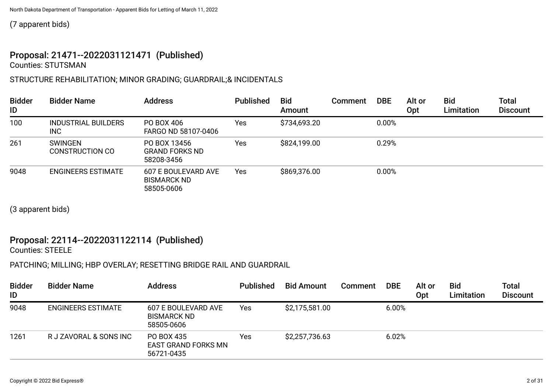(7 apparent bids)

#### Proposal: 21471--2022031121471 (Published) Counties: STUTSMAN

### STRUCTURE REHABILITATION; MINOR GRADING; GUARDRAIL;& INCIDENTALS

| <b>Bidder</b><br>ID | <b>Bidder Name</b>                       | <b>Address</b>                                          | <b>Published</b> | <b>Bid</b><br>Amount | Comment | <b>DBE</b> | Alt or<br>0pt | <b>Bid</b><br>Limitation | <b>Total</b><br><b>Discount</b> |
|---------------------|------------------------------------------|---------------------------------------------------------|------------------|----------------------|---------|------------|---------------|--------------------------|---------------------------------|
| 100                 | <b>INDUSTRIAL BUILDERS</b><br><b>INC</b> | PO BOX 406<br>FARGO ND 58107-0406                       | Yes              | \$734,693.20         |         | 0.00%      |               |                          |                                 |
| 261                 | <b>SWINGEN</b><br>CONSTRUCTION CO        | PO BOX 13456<br><b>GRAND FORKS ND</b><br>58208-3456     | Yes              | \$824,199.00         |         | 0.29%      |               |                          |                                 |
| 9048                | <b>ENGINEERS ESTIMATE</b>                | 607 E BOULEVARD AVE<br><b>BISMARCK ND</b><br>58505-0606 | Yes              | \$869,376.00         |         | 0.00%      |               |                          |                                 |

(3 apparent bids)

#### Proposal: 22114--2022031122114 (Published) Counties: STEELE

## PATCHING; MILLING; HBP OVERLAY; RESETTING BRIDGE RAIL AND GUARDRAIL

| <b>Bidder</b><br>ID | <b>Bidder Name</b>        | <b>Address</b>                                          | <b>Published</b> | <b>Bid Amount</b> | Comment | <b>DBE</b> | Alt or<br>Opt | <b>Bid</b><br>Limitation | <b>Total</b><br><b>Discount</b> |
|---------------------|---------------------------|---------------------------------------------------------|------------------|-------------------|---------|------------|---------------|--------------------------|---------------------------------|
| 9048                | <b>ENGINEERS ESTIMATE</b> | 607 E BOULEVARD AVE<br><b>BISMARCK ND</b><br>58505-0606 | Yes              | \$2,175,581.00    |         | 6.00%      |               |                          |                                 |
| 1261                | R J ZAVORAL & SONS INC    | PO BOX 435<br><b>EAST GRAND FORKS MN</b><br>56721-0435  | Yes              | \$2,257,736.63    |         | 6.02%      |               |                          |                                 |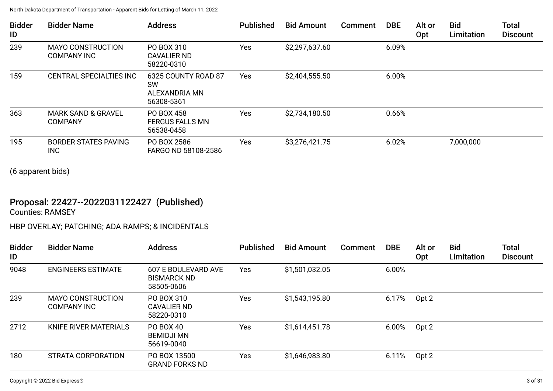| <b>Bidder</b><br>ID | <b>Bidder Name</b>                              | <b>Address</b>                                                  | Published | <b>Bid Amount</b> | <b>Comment</b> | <b>DBE</b> | Alt or<br>Opt | <b>Bid</b><br>Limitation | <b>Total</b><br><b>Discount</b> |
|---------------------|-------------------------------------------------|-----------------------------------------------------------------|-----------|-------------------|----------------|------------|---------------|--------------------------|---------------------------------|
| 239                 | <b>MAYO CONSTRUCTION</b><br><b>COMPANY INC</b>  | PO BOX 310<br><b>CAVALIER ND</b><br>58220-0310                  | Yes       | \$2,297,637.60    |                | 6.09%      |               |                          |                                 |
| 159                 | CENTRAL SPECIALTIES INC                         | 6325 COUNTY ROAD 87<br><b>SW</b><br>ALEXANDRIA MN<br>56308-5361 | Yes       | \$2,404,555.50    |                | 6.00%      |               |                          |                                 |
| 363                 | <b>MARK SAND &amp; GRAVEL</b><br><b>COMPANY</b> | PO BOX 458<br><b>FERGUS FALLS MN</b><br>56538-0458              | Yes       | \$2,734,180.50    |                | 0.66%      |               |                          |                                 |
| 195                 | <b>BORDER STATES PAVING</b><br><b>INC</b>       | PO BOX 2586<br>FARGO ND 58108-2586                              | Yes       | \$3,276,421.75    |                | 6.02%      |               | 7,000,000                |                                 |

(6 apparent bids)

# Proposal: 22427--2022031122427 (Published)

Counties: RAMSEY

## HBP OVERLAY; PATCHING; ADA RAMPS; & INCIDENTALS

| <b>Bidder</b><br>ID | <b>Bidder Name</b>                             | <b>Address</b>                                          | <b>Published</b> | <b>Bid Amount</b> | Comment | <b>DBE</b> | Alt or<br>Opt | <b>Bid</b><br>Limitation | <b>Total</b><br><b>Discount</b> |
|---------------------|------------------------------------------------|---------------------------------------------------------|------------------|-------------------|---------|------------|---------------|--------------------------|---------------------------------|
| 9048                | <b>ENGINEERS ESTIMATE</b>                      | 607 E BOULEVARD AVE<br><b>BISMARCK ND</b><br>58505-0606 | <b>Yes</b>       | \$1,501,032.05    |         | 6.00%      |               |                          |                                 |
| 239                 | <b>MAYO CONSTRUCTION</b><br><b>COMPANY INC</b> | PO BOX 310<br>CAVALIER ND<br>58220-0310                 | Yes              | \$1,543,195.80    |         | 6.17%      | Opt 2         |                          |                                 |
| 2712                | <b>KNIFE RIVER MATERIALS</b>                   | PO BOX 40<br><b>BEMIDJI MN</b><br>56619-0040            | Yes              | \$1,614,451.78    |         | 6.00%      | Opt 2         |                          |                                 |
| 180                 | <b>STRATA CORPORATION</b>                      | PO BOX 13500<br><b>GRAND FORKS ND</b>                   | Yes              | \$1,646,983.80    |         | 6.11%      | Opt 2         |                          |                                 |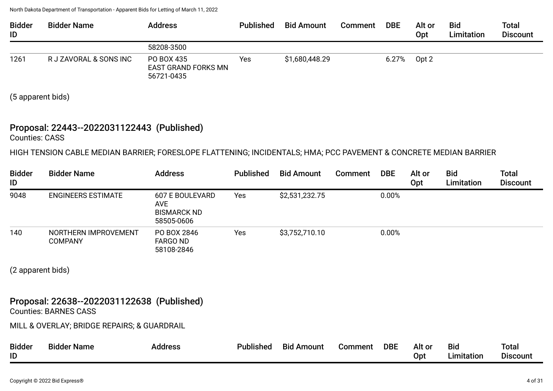| <b>Bidder</b><br>ID | <b>Bidder Name</b>     | <b>Address</b>                                         | <b>Published</b> | <b>Bid Amount</b> | <b>Comment</b> | <b>DBE</b> | Alt or<br>Opt | <b>Bid</b><br><b>Limitation</b> | <b>Total</b><br><b>Discount</b> |
|---------------------|------------------------|--------------------------------------------------------|------------------|-------------------|----------------|------------|---------------|---------------------------------|---------------------------------|
|                     |                        | 58208-3500                                             |                  |                   |                |            |               |                                 |                                 |
| 1261                | R J ZAVORAL & SONS INC | PO BOX 435<br><b>EAST GRAND FORKS MN</b><br>56721-0435 | Yes              | \$1,680,448.29    |                | 6.27%      | Opt 2         |                                 |                                 |

(5 apparent bids)

# Proposal: 22443--2022031122443 (Published)

Counties: CASS

HIGH TENSION CABLE MEDIAN BARRIER; FORESLOPE FLATTENING; INCIDENTALS; HMA; PCC PAVEMENT & CONCRETE MEDIAN BARRIER

| <b>Bidder</b><br>ID | <b>Bidder Name</b>                     | <b>Address</b>                                                    | <b>Published</b> | <b>Bid Amount</b> | <b>Comment</b> | <b>DBE</b> | Alt or<br>Opt | <b>Bid</b><br>Limitation | <b>Total</b><br><b>Discount</b> |
|---------------------|----------------------------------------|-------------------------------------------------------------------|------------------|-------------------|----------------|------------|---------------|--------------------------|---------------------------------|
| 9048                | <b>ENGINEERS ESTIMATE</b>              | 607 E BOULEVARD<br><b>AVE</b><br><b>BISMARCK ND</b><br>58505-0606 | Yes              | \$2,531,232.75    |                | 0.00%      |               |                          |                                 |
| 140                 | NORTHERN IMPROVEMENT<br><b>COMPANY</b> | PO BOX 2846<br><b>FARGO ND</b><br>58108-2846                      | Yes              | \$3,752,710.10    |                | 0.00%      |               |                          |                                 |

(2 apparent bids)

# Proposal: 22638--2022031122638 (Published)

Counties: BARNES CASS

MILL & OVERLAY; BRIDGE REPAIRS; & GUARDRAIL

| <b>Bidder</b> | <b>Bidder Name</b> | Address | <b>Published</b> | <b>Bid Amount</b> | Comment | <b>DBE</b> | Alt or | <b>Bid</b> | Total           |
|---------------|--------------------|---------|------------------|-------------------|---------|------------|--------|------------|-----------------|
| ID            |                    |         |                  |                   |         |            | Opt    | Limitation | <b>Discount</b> |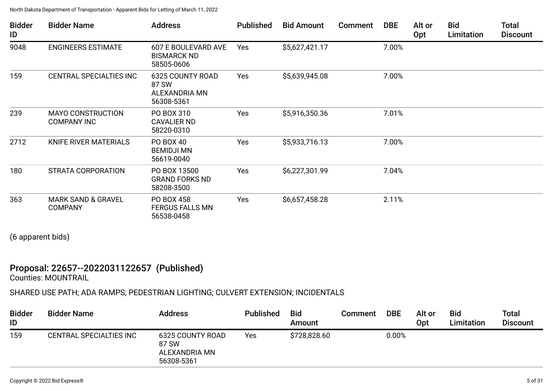| <b>Bidder</b><br>ID | <b>Bidder Name</b>                              | <b>Address</b>                                           | <b>Published</b> | <b>Bid Amount</b> | <b>Comment</b> | <b>DBE</b> | Alt or<br>Opt | Bid<br>Limitation | <b>Total</b><br><b>Discount</b> |
|---------------------|-------------------------------------------------|----------------------------------------------------------|------------------|-------------------|----------------|------------|---------------|-------------------|---------------------------------|
| 9048                | <b>ENGINEERS ESTIMATE</b>                       | 607 E BOULEVARD AVE<br><b>BISMARCK ND</b><br>58505-0606  | Yes              | \$5,627,421.17    |                | 7.00%      |               |                   |                                 |
| 159                 | CENTRAL SPECIALTIES INC                         | 6325 COUNTY ROAD<br>87 SW<br>ALEXANDRIA MN<br>56308-5361 | Yes              | \$5,639,945.08    |                | 7.00%      |               |                   |                                 |
| 239                 | <b>MAYO CONSTRUCTION</b><br><b>COMPANY INC</b>  | PO BOX 310<br><b>CAVALIER ND</b><br>58220-0310           | Yes              | \$5,916,350.36    |                | 7.01%      |               |                   |                                 |
| 2712                | KNIFE RIVER MATERIALS                           | PO BOX 40<br><b>BEMIDJI MN</b><br>56619-0040             | Yes              | \$5,933,716.13    |                | 7.00%      |               |                   |                                 |
| 180                 | <b>STRATA CORPORATION</b>                       | PO BOX 13500<br><b>GRAND FORKS ND</b><br>58208-3500      | Yes              | \$6,227,301.99    |                | 7.04%      |               |                   |                                 |
| 363                 | <b>MARK SAND &amp; GRAVEL</b><br><b>COMPANY</b> | PO BOX 458<br><b>FERGUS FALLS MN</b><br>56538-0458       | Yes              | \$6,657,458.28    |                | 2.11%      |               |                   |                                 |

(6 apparent bids)

# Proposal: 22657--2022031122657 (Published)

Counties: MOUNTRAIL

## SHARED USE PATH; ADA RAMPS; PEDESTRIAN LIGHTING; CULVERT EXTENSION; INCIDENTALS

| <b>Bidder</b><br>ID | <b>Bidder Name</b>      | <b>Address</b>                                           | <b>Published</b> | <b>Bid</b><br>Amount | Comment | <b>DBE</b> | Alt or<br>Opt | <b>Bid</b><br>Limitation | <b>Total</b><br><b>Discount</b> |
|---------------------|-------------------------|----------------------------------------------------------|------------------|----------------------|---------|------------|---------------|--------------------------|---------------------------------|
| 159                 | CENTRAL SPECIALTIES INC | 6325 COUNTY ROAD<br>87 SW<br>ALEXANDRIA MN<br>56308-5361 | Yes              | \$728,828.60         |         | $0.00\%$   |               |                          |                                 |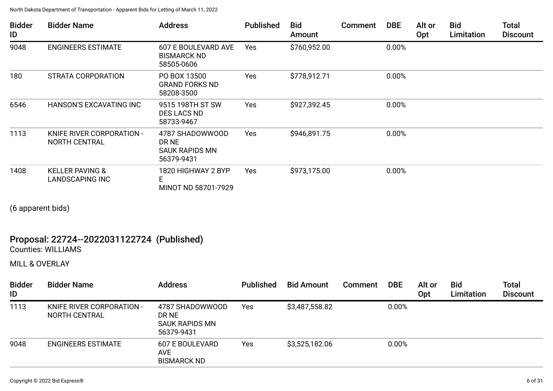| <b>Bidder</b><br>ID | <b>Bidder Name</b>                                   | <b>Address</b>                                           | <b>Published</b> | <b>Bid</b><br>Amount | <b>Comment</b> | <b>DBE</b> | Alt or<br>Opt | <b>Bid</b><br>Limitation | <b>Total</b><br><b>Discount</b> |
|---------------------|------------------------------------------------------|----------------------------------------------------------|------------------|----------------------|----------------|------------|---------------|--------------------------|---------------------------------|
| 9048                | <b>ENGINEERS ESTIMATE</b>                            | 607 E BOULEVARD AVE<br><b>BISMARCK ND</b><br>58505-0606  | <b>Yes</b>       | \$760,952.00         |                | 0.00%      |               |                          |                                 |
| 180                 | STRATA CORPORATION                                   | PO BOX 13500<br><b>GRAND FORKS ND</b><br>58208-3500      | Yes              | \$778,912.71         |                | 0.00%      |               |                          |                                 |
| 6546                | <b>HANSON'S EXCAVATING INC</b>                       | 9515 198TH ST SW<br>DES LACS ND<br>58733-9467            | Yes              | \$927,392.45         |                | 0.00%      |               |                          |                                 |
| 1113                | KNIFE RIVER CORPORATION -<br><b>NORTH CENTRAL</b>    | 4787 SHADOWWOOD<br>DR NE<br>SAUK RAPIDS MN<br>56379-9431 | Yes              | \$946,891.75         |                | 0.00%      |               |                          |                                 |
| 1408                | <b>KELLER PAVING &amp;</b><br><b>LANDSCAPING INC</b> | 1820 HIGHWAY 2 BYP<br>E<br>MINOT ND 58701-7929           | Yes              | \$973,175.00         |                | 0.00%      |               |                          |                                 |

(6 apparent bids)

# Proposal: 22724--2022031122724 (Published)

Counties: WILLIAMS

MILL & OVERLAY

| <b>Bidder</b><br>ID | <b>Bidder Name</b>                                | <b>Address</b>                                                  | <b>Published</b> | <b>Bid Amount</b> | <b>Comment</b> | <b>DBE</b> | Alt or<br>Opt | <b>Bid</b><br>Limitation | Total<br><b>Discount</b> |
|---------------------|---------------------------------------------------|-----------------------------------------------------------------|------------------|-------------------|----------------|------------|---------------|--------------------------|--------------------------|
| 1113                | <b>KNIFE RIVER CORPORATION -</b><br>NORTH CENTRAL | 4787 SHADOWWOOD<br>DR NE<br><b>SAUK RAPIDS MN</b><br>56379-9431 | <b>Yes</b>       | \$3,487,558.82    |                | 0.00%      |               |                          |                          |
| 9048                | <b>ENGINEERS ESTIMATE</b>                         | 607 E BOULEVARD<br><b>AVE</b><br><b>BISMARCK ND</b>             | <b>Yes</b>       | \$3,525,182.06    |                | 0.00%      |               |                          |                          |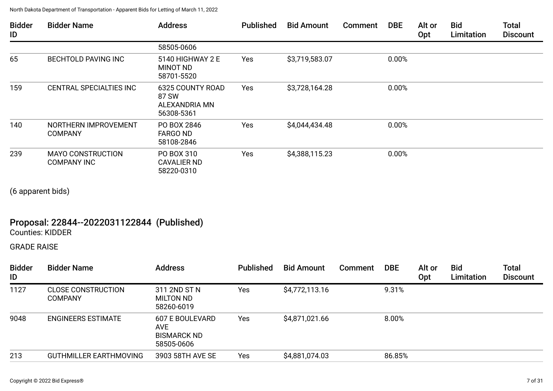| <b>Bidder</b><br>ID | <b>Bidder Name</b>                             | <b>Address</b>                                                  | <b>Published</b> | <b>Bid Amount</b> | Comment | <b>DBE</b> | Alt or<br>Opt | <b>Bid</b><br>Limitation | <b>Total</b><br><b>Discount</b> |
|---------------------|------------------------------------------------|-----------------------------------------------------------------|------------------|-------------------|---------|------------|---------------|--------------------------|---------------------------------|
|                     |                                                | 58505-0606                                                      |                  |                   |         |            |               |                          |                                 |
| 65                  | <b>BECHTOLD PAVING INC</b>                     | 5140 HIGHWAY 2 E<br><b>MINOT ND</b><br>58701-5520               | Yes              | \$3,719,583.07    |         | 0.00%      |               |                          |                                 |
| 159                 | CENTRAL SPECIALTIES INC                        | <b>6325 COUNTY ROAD</b><br>87 SW<br>ALEXANDRIA MN<br>56308-5361 | Yes              | \$3,728,164.28    |         | 0.00%      |               |                          |                                 |
| 140                 | NORTHERN IMPROVEMENT<br><b>COMPANY</b>         | PO BOX 2846<br><b>FARGO ND</b><br>58108-2846                    | Yes              | \$4,044,434.48    |         | 0.00%      |               |                          |                                 |
| 239                 | <b>MAYO CONSTRUCTION</b><br><b>COMPANY INC</b> | PO BOX 310<br><b>CAVALIER ND</b><br>58220-0310                  | Yes              | \$4,388,115.23    |         | 0.00%      |               |                          |                                 |

(6 apparent bids)

# Proposal: 22844--2022031122844 (Published)

Counties: KIDDER

GRADE RAISE

| <b>Bidder</b><br>ID | <b>Bidder Name</b>                          | <b>Address</b>                                             | <b>Published</b> | <b>Bid Amount</b> | Comment | <b>DBE</b> | Alt or<br>Opt | <b>Bid</b><br>Limitation | Total<br><b>Discount</b> |
|---------------------|---------------------------------------------|------------------------------------------------------------|------------------|-------------------|---------|------------|---------------|--------------------------|--------------------------|
| 1127                | <b>CLOSE CONSTRUCTION</b><br><b>COMPANY</b> | 311 2ND ST N<br>MILTON ND<br>58260-6019                    | Yes              | \$4,772,113.16    |         | 9.31%      |               |                          |                          |
| 9048                | <b>ENGINEERS ESTIMATE</b>                   | 607 E BOULEVARD<br>AVE<br><b>BISMARCK ND</b><br>58505-0606 | Yes              | \$4,871,021.66    |         | 8.00%      |               |                          |                          |
| 213                 | <b>GUTHMILLER EARTHMOVING</b>               | 3903 58TH AVE SE                                           | Yes              | \$4,881,074.03    |         | 86.85%     |               |                          |                          |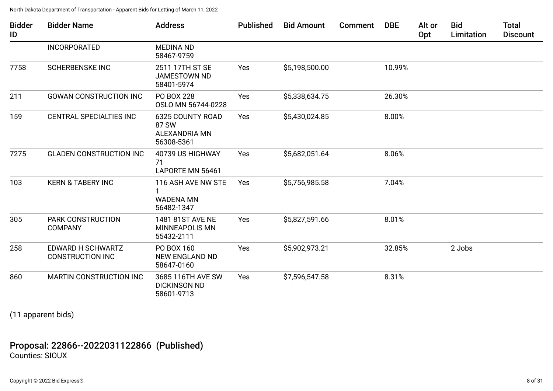| <b>Bidder</b><br>ID | <b>Bidder Name</b>                           | <b>Address</b>                                                         | <b>Published</b> | <b>Bid Amount</b> | <b>Comment</b> | <b>DBE</b> | Alt or<br>Opt | <b>Bid</b><br>Limitation | <b>Total</b><br><b>Discount</b> |
|---------------------|----------------------------------------------|------------------------------------------------------------------------|------------------|-------------------|----------------|------------|---------------|--------------------------|---------------------------------|
|                     | <b>INCORPORATED</b>                          | <b>MEDINA ND</b><br>58467-9759                                         |                  |                   |                |            |               |                          |                                 |
| 7758                | <b>SCHERBENSKE INC</b>                       | 2511 17TH ST SE<br><b>JAMESTOWN ND</b><br>58401-5974                   | Yes              | \$5,198,500.00    |                | 10.99%     |               |                          |                                 |
| 211                 | <b>GOWAN CONSTRUCTION INC</b>                | PO BOX 228<br>OSLO MN 56744-0228                                       | Yes              | \$5,338,634.75    |                | 26.30%     |               |                          |                                 |
| 159                 | <b>CENTRAL SPECIALTIES INC</b>               | <b>6325 COUNTY ROAD</b><br>87 SW<br><b>ALEXANDRIA MN</b><br>56308-5361 | Yes              | \$5,430,024.85    |                | 8.00%      |               |                          |                                 |
| 7275                | <b>GLADEN CONSTRUCTION INC</b>               | 40739 US HIGHWAY<br>71<br>LAPORTE MN 56461                             | Yes              | \$5,682,051.64    |                | 8.06%      |               |                          |                                 |
| 103                 | <b>KERN &amp; TABERY INC</b>                 | 116 ASH AVE NW STE<br><b>WADENA MN</b><br>56482-1347                   | Yes              | \$5,756,985.58    |                | 7.04%      |               |                          |                                 |
| 305                 | <b>PARK CONSTRUCTION</b><br><b>COMPANY</b>   | 1481 81ST AVE NE<br><b>MINNEAPOLIS MN</b><br>55432-2111                | Yes              | \$5,827,591.66    |                | 8.01%      |               |                          |                                 |
| 258                 | EDWARD H SCHWARTZ<br><b>CONSTRUCTION INC</b> | PO BOX 160<br><b>NEW ENGLAND ND</b><br>58647-0160                      | Yes              | \$5,902,973.21    |                | 32.85%     |               | 2 Jobs                   |                                 |
| 860                 | <b>MARTIN CONSTRUCTION INC</b>               | 3685 116TH AVE SW<br><b>DICKINSON ND</b><br>58601-9713                 | Yes              | \$7,596,547.58    |                | 8.31%      |               |                          |                                 |

(11 apparent bids)

## Proposal: 22866--2022031122866 (Published) Counties: SIOUX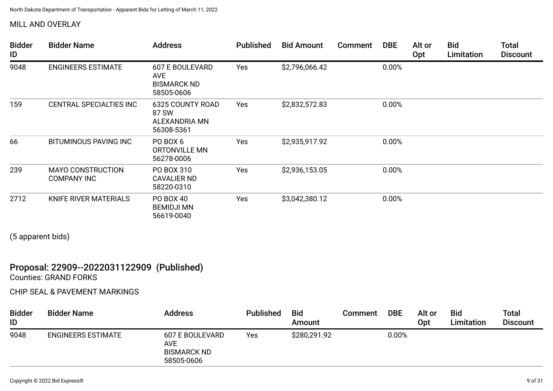### MILL AND OVERLAY

| <b>Bidder</b><br>ID | <b>Bidder Name</b>                             | <b>Address</b>                                                    | <b>Published</b> | <b>Bid Amount</b> | <b>Comment</b> | <b>DBE</b> | Alt or<br>Opt | <b>Bid</b><br>Limitation | <b>Total</b><br><b>Discount</b> |
|---------------------|------------------------------------------------|-------------------------------------------------------------------|------------------|-------------------|----------------|------------|---------------|--------------------------|---------------------------------|
| 9048                | <b>ENGINEERS ESTIMATE</b>                      | 607 E BOULEVARD<br><b>AVE</b><br><b>BISMARCK ND</b><br>58505-0606 | Yes              | \$2,796,066.42    |                | 0.00%      |               |                          |                                 |
| 159                 | <b>CENTRAL SPECIALTIES INC</b>                 | <b>6325 COUNTY ROAD</b><br>87 SW<br>ALEXANDRIA MN<br>56308-5361   | Yes              | \$2,832,572.83    |                | 0.00%      |               |                          |                                 |
| 66                  | <b>BITUMINOUS PAVING INC</b>                   | PO BOX 6<br>ORTONVILLE MN<br>56278-0006                           | Yes              | \$2,935,917.92    |                | 0.00%      |               |                          |                                 |
| 239                 | <b>MAYO CONSTRUCTION</b><br><b>COMPANY INC</b> | PO BOX 310<br><b>CAVALIER ND</b><br>58220-0310                    | Yes              | \$2,936,153.05    |                | 0.00%      |               |                          |                                 |
| 2712                | KNIFE RIVER MATERIALS                          | PO BOX 40<br><b>BEMIDJI MN</b><br>56619-0040                      | Yes              | \$3,042,380.12    |                | 0.00%      |               |                          |                                 |

(5 apparent bids)

### Proposal: 22909--2022031122909 (Published) Counties: GRAND FORKS

#### CHIP SEAL & PAVEMENT MARKINGS

| <b>Bidder</b><br>ID | <b>Bidder Name</b>        | <b>Address</b>                                                           | <b>Published</b> | <b>Bid</b><br>Amount | <b>Comment</b> | <b>DBE</b> | Alt or<br>Opt | <b>Bid</b><br>Limitation | <b>Total</b><br><b>Discount</b> |
|---------------------|---------------------------|--------------------------------------------------------------------------|------------------|----------------------|----------------|------------|---------------|--------------------------|---------------------------------|
| 9048                | <b>ENGINEERS ESTIMATE</b> | <b>607 E BOULEVARD</b><br><b>AVE</b><br><b>BISMARCK ND</b><br>58505-0606 | Yes              | \$280,291.92         |                | 0.00%      |               |                          |                                 |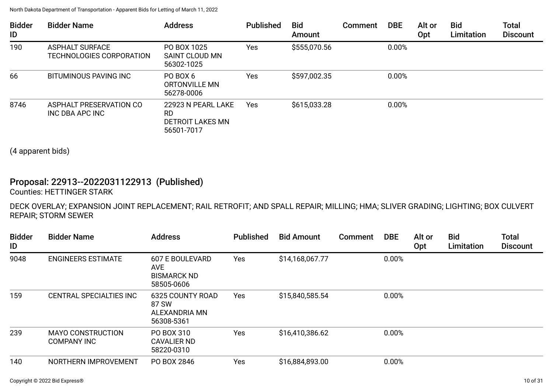| <b>Bidder</b><br>ID | <b>Bidder Name</b>                                 | <b>Address</b>                                                     | <b>Published</b> | <b>Bid</b><br>Amount | <b>Comment</b> | <b>DBE</b> | Alt or<br>Opt | <b>Bid</b><br>Limitation | <b>Total</b><br><b>Discount</b> |
|---------------------|----------------------------------------------------|--------------------------------------------------------------------|------------------|----------------------|----------------|------------|---------------|--------------------------|---------------------------------|
| 190                 | <b>ASPHALT SURFACE</b><br>TECHNOLOGIES CORPORATION | PO BOX 1025<br>SAINT CLOUD MN<br>56302-1025                        | Yes              | \$555,070.56         |                | 0.00%      |               |                          |                                 |
| 66                  | BITUMINOUS PAVING INC                              | PO BOX 6<br>ORTONVILLE MN<br>56278-0006                            | Yes              | \$597,002.35         |                | 0.00%      |               |                          |                                 |
| 8746                | ASPHALT PRESERVATION CO<br>INC DBA APC INC         | 22923 N PEARL LAKE<br>RD.<br><b>DETROIT LAKES MN</b><br>56501-7017 | Yes              | \$615,033.28         |                | 0.00%      |               |                          |                                 |

(4 apparent bids)

# Proposal: 22913--2022031122913 (Published)

Counties: HETTINGER STARK

DECK OVERLAY; EXPANSION JOINT REPLACEMENT; RAIL RETROFIT; AND SPALL REPAIR; MILLING; HMA; SLIVER GRADING; LIGHTING; BOX CULVERT REPAIR; STORM SEWER

| <b>Bidder</b><br>ID | <b>Bidder Name</b>                      | <b>Address</b>                                                           | <b>Published</b> | <b>Bid Amount</b> | Comment | <b>DBE</b> | Alt or<br>Opt | <b>Bid</b><br>Limitation | <b>Total</b><br><b>Discount</b> |
|---------------------|-----------------------------------------|--------------------------------------------------------------------------|------------------|-------------------|---------|------------|---------------|--------------------------|---------------------------------|
| 9048                | <b>ENGINEERS ESTIMATE</b>               | <b>607 E BOULEVARD</b><br><b>AVE</b><br><b>BISMARCK ND</b><br>58505-0606 | Yes              | \$14,168,067.77   |         | 0.00%      |               |                          |                                 |
| 159                 | CENTRAL SPECIALTIES INC                 | <b>6325 COUNTY ROAD</b><br>87 SW<br>ALEXANDRIA MN<br>56308-5361          | Yes              | \$15,840,585.54   |         | 0.00%      |               |                          |                                 |
| 239                 | <b>MAYO CONSTRUCTION</b><br>COMPANY INC | PO BOX 310<br>CAVALIER ND<br>58220-0310                                  | Yes              | \$16,410,386.62   |         | 0.00%      |               |                          |                                 |
| 140                 | NORTHERN IMPROVEMENT                    | PO BOX 2846                                                              | Yes              | \$16,884,893.00   |         | 0.00%      |               |                          |                                 |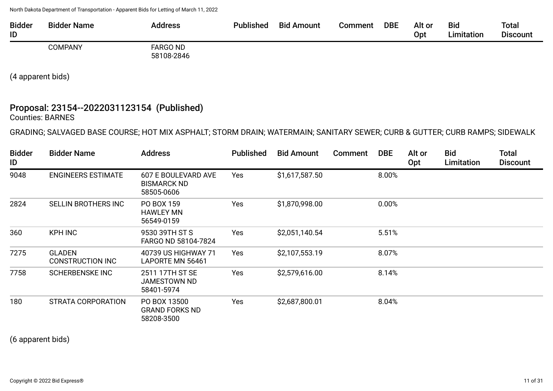| <b>Bidder</b><br>ID | <b>Bidder Name</b> | Address                       | Published | <b>Bid Amount</b> | Comment | <b>DBE</b> | Alt or<br>Opt | <b>Bid</b><br>Limitation | Total<br><b>Discount</b> |
|---------------------|--------------------|-------------------------------|-----------|-------------------|---------|------------|---------------|--------------------------|--------------------------|
|                     | <b>COMPANY</b>     | <b>FARGO ND</b><br>58108-2846 |           |                   |         |            |               |                          |                          |

(4 apparent bids)

# Proposal: 23154--2022031123154 (Published)

Counties: BARNES

GRADING; SALVAGED BASE COURSE; HOT MIX ASPHALT; STORM DRAIN; WATERMAIN; SANITARY SEWER; CURB & GUTTER; CURB RAMPS; SIDEWALK

| <b>Bidder</b><br>ID | <b>Bidder Name</b>                       | <b>Address</b>                                          | <b>Published</b> | <b>Bid Amount</b> | <b>Comment</b> | <b>DBE</b> | Alt or<br><b>Opt</b> | <b>Bid</b><br>Limitation | <b>Total</b><br><b>Discount</b> |
|---------------------|------------------------------------------|---------------------------------------------------------|------------------|-------------------|----------------|------------|----------------------|--------------------------|---------------------------------|
| 9048                | <b>ENGINEERS ESTIMATE</b>                | 607 E BOULEVARD AVE<br><b>BISMARCK ND</b><br>58505-0606 | Yes              | \$1,617,587.50    |                | 8.00%      |                      |                          |                                 |
| 2824                | SELLIN BROTHERS INC                      | PO BOX 159<br><b>HAWLEY MN</b><br>56549-0159            | Yes              | \$1,870,998.00    |                | 0.00%      |                      |                          |                                 |
| 360                 | <b>KPH INC</b>                           | 9530 39TH ST S<br>FARGO ND 58104-7824                   | Yes              | \$2,051,140.54    |                | 5.51%      |                      |                          |                                 |
| 7275                | <b>GLADEN</b><br><b>CONSTRUCTION INC</b> | 40739 US HIGHWAY 71<br>LAPORTE MN 56461                 | Yes              | \$2,107,553.19    |                | 8.07%      |                      |                          |                                 |
| 7758                | <b>SCHERBENSKE INC</b>                   | 2511 17TH ST SE<br><b>JAMESTOWN ND</b><br>58401-5974    | Yes              | \$2,579,616.00    |                | 8.14%      |                      |                          |                                 |
| 180                 | STRATA CORPORATION                       | PO BOX 13500<br><b>GRAND FORKS ND</b><br>58208-3500     | Yes              | \$2,687,800.01    |                | 8.04%      |                      |                          |                                 |

(6 apparent bids)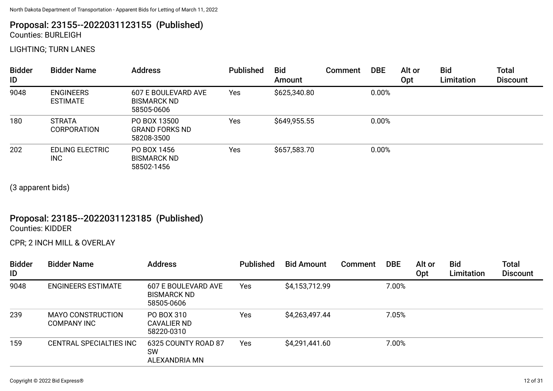# Proposal: 23155--2022031123155 (Published)

Counties: BURLEIGH

LIGHTING; TURN LANES

| <b>Bidder</b><br>ID | <b>Bidder Name</b>                   | <b>Address</b>                                                 | <b>Published</b> | <b>Bid</b><br>Amount | <b>Comment</b> | <b>DBE</b> | Alt or<br>Opt | <b>Bid</b><br>Limitation | <b>Total</b><br><b>Discount</b> |
|---------------------|--------------------------------------|----------------------------------------------------------------|------------------|----------------------|----------------|------------|---------------|--------------------------|---------------------------------|
| 9048                | <b>ENGINEERS</b><br><b>ESTIMATE</b>  | <b>607 E BOULEVARD AVE</b><br><b>BISMARCK ND</b><br>58505-0606 | Yes              | \$625,340.80         |                | 0.00%      |               |                          |                                 |
| 180                 | <b>STRATA</b><br><b>CORPORATION</b>  | PO BOX 13500<br><b>GRAND FORKS ND</b><br>58208-3500            | Yes              | \$649,955.55         |                | 0.00%      |               |                          |                                 |
| 202                 | <b>EDLING ELECTRIC</b><br><b>INC</b> | PO BOX 1456<br><b>BISMARCK ND</b><br>58502-1456                | Yes              | \$657,583.70         |                | 0.00%      |               |                          |                                 |

(3 apparent bids)

# Proposal: 23185--2022031123185 (Published)

Counties: KIDDER

CPR; 2 INCH MILL & OVERLAY

| <b>Bidder</b><br>ID | <b>Bidder Name</b>                             | <b>Address</b>                                          | <b>Published</b> | <b>Bid Amount</b> | Comment | <b>DBE</b> | Alt or<br>Opt | <b>Bid</b><br>Limitation | <b>Total</b><br><b>Discount</b> |
|---------------------|------------------------------------------------|---------------------------------------------------------|------------------|-------------------|---------|------------|---------------|--------------------------|---------------------------------|
| 9048                | <b>ENGINEERS ESTIMATE</b>                      | 607 E BOULEVARD AVE<br><b>BISMARCK ND</b><br>58505-0606 | Yes              | \$4,153,712.99    |         | 7.00%      |               |                          |                                 |
| 239                 | <b>MAYO CONSTRUCTION</b><br><b>COMPANY INC</b> | PO BOX 310<br>CAVALIER ND<br>58220-0310                 | Yes              | \$4,263,497.44    |         | 7.05%      |               |                          |                                 |
| 159                 | CENTRAL SPECIALTIES INC                        | 6325 COUNTY ROAD 87<br>SW<br>ALEXANDRIA MN              | Yes              | \$4,291,441.60    |         | 7.00%      |               |                          |                                 |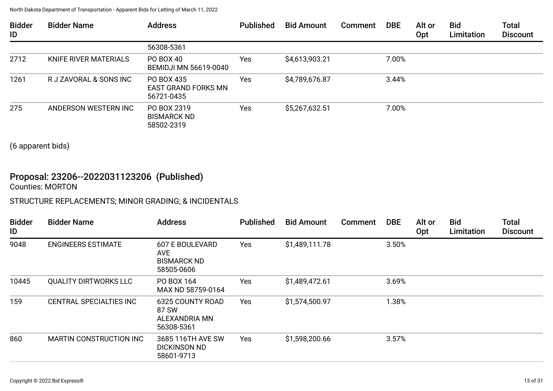| <b>Bidder</b><br>ID | <b>Bidder Name</b>     | <b>Address</b>                                         | <b>Published</b> | <b>Bid Amount</b> | <b>Comment</b> | <b>DBE</b> | Alt or<br><b>Opt</b> | <b>Bid</b><br>Limitation | <b>Total</b><br><b>Discount</b> |
|---------------------|------------------------|--------------------------------------------------------|------------------|-------------------|----------------|------------|----------------------|--------------------------|---------------------------------|
|                     |                        | 56308-5361                                             |                  |                   |                |            |                      |                          |                                 |
| 2712                | KNIFE RIVER MATERIALS  | PO BOX 40<br><b>BEMIDJI MN 56619-0040</b>              | Yes              | \$4,613,903.21    |                | 7.00%      |                      |                          |                                 |
| 1261                | R J ZAVORAL & SONS INC | PO BOX 435<br><b>EAST GRAND FORKS MN</b><br>56721-0435 | Yes              | \$4,789,676.87    |                | 3.44%      |                      |                          |                                 |
| 275                 | ANDERSON WESTERN INC   | PO BOX 2319<br><b>BISMARCK ND</b><br>58502-2319        | Yes              | \$5,267,632.51    |                | 7.00%      |                      |                          |                                 |

(6 apparent bids)

# Proposal: 23206--2022031123206 (Published)

Counties: MORTON

### STRUCTURE REPLACEMENTS; MINOR GRADING; & INCIDENTALS

| <b>Bidder</b><br>ID | <b>Bidder Name</b>             | <b>Address</b>                                                    | <b>Published</b> | <b>Bid Amount</b> | <b>Comment</b> | <b>DBE</b> | Alt or<br>Opt | <b>Bid</b><br>Limitation | <b>Total</b><br><b>Discount</b> |
|---------------------|--------------------------------|-------------------------------------------------------------------|------------------|-------------------|----------------|------------|---------------|--------------------------|---------------------------------|
| 9048                | <b>ENGINEERS ESTIMATE</b>      | <b>607 E BOULEVARD</b><br>AVE<br><b>BISMARCK ND</b><br>58505-0606 | Yes              | \$1,489,111.78    |                | 3.50%      |               |                          |                                 |
| 10445               | <b>QUALITY DIRTWORKS LLC</b>   | PO BOX 164<br>MAX ND 58759-0164                                   | Yes              | \$1,489,472.61    |                | 3.69%      |               |                          |                                 |
| 159                 | CENTRAL SPECIALTIES INC        | <b>6325 COUNTY ROAD</b><br>87 SW<br>ALEXANDRIA MN<br>56308-5361   | Yes              | \$1,574,500.97    |                | 1.38%      |               |                          |                                 |
| 860                 | <b>MARTIN CONSTRUCTION INC</b> | 3685 116TH AVE SW<br><b>DICKINSON ND</b><br>58601-9713            | Yes              | \$1,598,200.66    |                | 3.57%      |               |                          |                                 |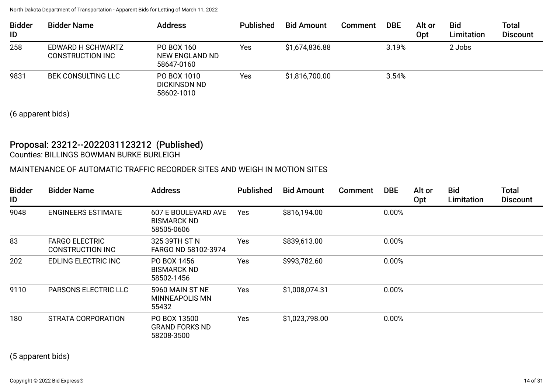| <b>Bidder</b><br>ID | <b>Bidder Name</b>                           | <b>Address</b>                                   | <b>Published</b> | <b>Bid Amount</b> | <b>Comment</b> | <b>DBE</b> | Alt or<br>Opt | <b>Bid</b><br>Limitation | <b>Total</b><br><b>Discount</b> |
|---------------------|----------------------------------------------|--------------------------------------------------|------------------|-------------------|----------------|------------|---------------|--------------------------|---------------------------------|
| 258                 | EDWARD H SCHWARTZ<br><b>CONSTRUCTION INC</b> | PO BOX 160<br>NEW ENGLAND ND<br>58647-0160       | Yes              | \$1,674,836.88    |                | 3.19%      |               | 2 Jobs                   |                                 |
| 9831                | <b>BEK CONSULTING LLC</b>                    | PO BOX 1010<br><b>DICKINSON ND</b><br>58602-1010 | Yes              | \$1,816,700.00    |                | 3.54%      |               |                          |                                 |

(6 apparent bids)

### Proposal: 23212--2022031123212 (Published) Counties: BILLINGS BOWMAN BURKE BURLEIGH

### MAINTENANCE OF AUTOMATIC TRAFFIC RECORDER SITES AND WEIGH IN MOTION SITES

| <b>Bidder</b><br>ID | <b>Bidder Name</b>                        | <b>Address</b>                                          | <b>Published</b> | <b>Bid Amount</b> | Comment | <b>DBE</b> | Alt or<br>Opt | <b>Bid</b><br>Limitation | <b>Total</b><br><b>Discount</b> |
|---------------------|-------------------------------------------|---------------------------------------------------------|------------------|-------------------|---------|------------|---------------|--------------------------|---------------------------------|
| 9048                | <b>ENGINEERS ESTIMATE</b>                 | 607 E BOULEVARD AVE<br><b>BISMARCK ND</b><br>58505-0606 | Yes              | \$816,194.00      |         | 0.00%      |               |                          |                                 |
| 83                  | <b>FARGO ELECTRIC</b><br>CONSTRUCTION INC | 325 39TH ST N<br>FARGO ND 58102-3974                    | Yes              | \$839,613.00      |         | 0.00%      |               |                          |                                 |
| 202                 | EDLING ELECTRIC INC                       | PO BOX 1456<br><b>BISMARCK ND</b><br>58502-1456         | Yes              | \$993,782.60      |         | 0.00%      |               |                          |                                 |
| 9110                | <b>PARSONS ELECTRIC LLC</b>               | 5960 MAIN ST NE<br>MINNEAPOLIS MN<br>55432              | Yes              | \$1,008,074.31    |         | 0.00%      |               |                          |                                 |
| 180                 | STRATA CORPORATION                        | PO BOX 13500<br><b>GRAND FORKS ND</b><br>58208-3500     | Yes              | \$1,023,798.00    |         | 0.00%      |               |                          |                                 |

(5 apparent bids)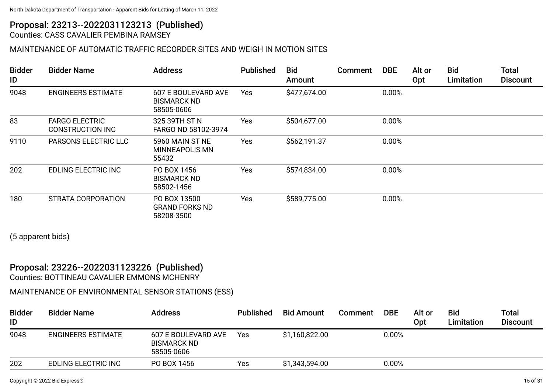# Proposal: 23213--2022031123213 (Published)

Counties: CASS CAVALIER PEMBINA RAMSEY

### MAINTENANCE OF AUTOMATIC TRAFFIC RECORDER SITES AND WEIGH IN MOTION SITES

| <b>Bidder</b><br>ID | <b>Bidder Name</b>                        | <b>Address</b>                                          | <b>Published</b> | <b>Bid</b><br>Amount | Comment | <b>DBE</b> | Alt or<br>Opt | <b>Bid</b><br>Limitation | <b>Total</b><br><b>Discount</b> |
|---------------------|-------------------------------------------|---------------------------------------------------------|------------------|----------------------|---------|------------|---------------|--------------------------|---------------------------------|
| 9048                | <b>ENGINEERS ESTIMATE</b>                 | 607 E BOULEVARD AVE<br><b>BISMARCK ND</b><br>58505-0606 | <b>Yes</b>       | \$477,674.00         |         | 0.00%      |               |                          |                                 |
| 83                  | <b>FARGO ELECTRIC</b><br>CONSTRUCTION INC | 325 39TH ST N<br>FARGO ND 58102-3974                    | <b>Yes</b>       | \$504,677.00         |         | 0.00%      |               |                          |                                 |
| 9110                | <b>PARSONS ELECTRIC LLC</b>               | 5960 MAIN ST NE<br>MINNEAPOLIS MN<br>55432              | Yes              | \$562,191.37         |         | 0.00%      |               |                          |                                 |
| 202                 | EDLING ELECTRIC INC                       | PO BOX 1456<br><b>BISMARCK ND</b><br>58502-1456         | Yes              | \$574,834.00         |         | 0.00%      |               |                          |                                 |
| 180                 | STRATA CORPORATION                        | PO BOX 13500<br><b>GRAND FORKS ND</b><br>58208-3500     | <b>Yes</b>       | \$589,775.00         |         | 0.00%      |               |                          |                                 |

(5 apparent bids)

#### Proposal: 23226--2022031123226 (Published) Counties: BOTTINEAU CAVALIER EMMONS MCHENRY

### MAINTENANCE OF ENVIRONMENTAL SENSOR STATIONS (ESS)

| <b>Bidder</b><br>ID | <b>Bidder Name</b>        | <b>Address</b>                                          | <b>Published</b> | <b>Bid Amount</b> | Comment | <b>DBE</b> | Alt or<br><b>Opt</b> | <b>Bid</b><br>Limitation | <b>Total</b><br><b>Discount</b> |
|---------------------|---------------------------|---------------------------------------------------------|------------------|-------------------|---------|------------|----------------------|--------------------------|---------------------------------|
| 9048                | <b>ENGINEERS ESTIMATE</b> | 607 E BOULEVARD AVE<br><b>BISMARCK ND</b><br>58505-0606 | Yes              | \$1,160,822.00    |         | 0.00%      |                      |                          |                                 |
| 202                 | EDLING ELECTRIC INC       | PO BOX 1456                                             | Yes              | \$1,343,594.00    |         | 0.00%      |                      |                          |                                 |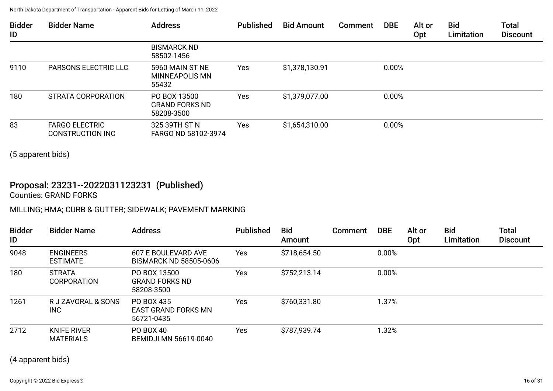| <b>Bidder</b><br>ID | <b>Bidder Name</b>                        | <b>Address</b>                                      | <b>Published</b> | <b>Bid Amount</b> | <b>Comment</b> | <b>DBE</b> | Alt or<br>Opt | <b>Bid</b><br>Limitation | <b>Total</b><br><b>Discount</b> |
|---------------------|-------------------------------------------|-----------------------------------------------------|------------------|-------------------|----------------|------------|---------------|--------------------------|---------------------------------|
|                     |                                           | <b>BISMARCK ND</b><br>58502-1456                    |                  |                   |                |            |               |                          |                                 |
| 9110                | <b>PARSONS ELECTRIC LLC</b>               | 5960 MAIN ST NE<br>MINNEAPOLIS MN<br>55432          | Yes              | \$1,378,130.91    |                | 0.00%      |               |                          |                                 |
| 180                 | STRATA CORPORATION                        | PO BOX 13500<br><b>GRAND FORKS ND</b><br>58208-3500 | Yes              | \$1,379,077.00    |                | 0.00%      |               |                          |                                 |
| 83                  | <b>FARGO ELECTRIC</b><br>CONSTRUCTION INC | 325 39TH ST N<br>FARGO ND 58102-3974                | Yes              | \$1,654,310.00    |                | 0.00%      |               |                          |                                 |

(5 apparent bids)

# Proposal: 23231--2022031123231 (Published)

Counties: GRAND FORKS

## MILLING; HMA; CURB & GUTTER; SIDEWALK; PAVEMENT MARKING

| <b>Bidder</b><br>ID | <b>Bidder Name</b>                  | <b>Address</b>                                         | <b>Published</b> | <b>Bid</b><br>Amount | <b>Comment</b> | <b>DBE</b> | Alt or<br><b>Opt</b> | <b>Bid</b><br>Limitation | <b>Total</b><br><b>Discount</b> |
|---------------------|-------------------------------------|--------------------------------------------------------|------------------|----------------------|----------------|------------|----------------------|--------------------------|---------------------------------|
| 9048                | <b>ENGINEERS</b><br><b>ESTIMATE</b> | 607 E BOULEVARD AVE<br><b>BISMARCK ND 58505-0606</b>   | <b>Yes</b>       | \$718,654.50         |                | 0.00%      |                      |                          |                                 |
| 180                 | <b>STRATA</b><br><b>CORPORATION</b> | PO BOX 13500<br><b>GRAND FORKS ND</b><br>58208-3500    | <b>Yes</b>       | \$752,213.14         |                | 0.00%      |                      |                          |                                 |
| 1261                | R J ZAVORAL & SONS<br><b>INC</b>    | PO BOX 435<br><b>EAST GRAND FORKS MN</b><br>56721-0435 | Yes              | \$760,331.80         |                | 1.37%      |                      |                          |                                 |
| 2712                | KNIFE RIVER<br><b>MATERIALS</b>     | PO BOX 40<br><b>BEMIDJI MN 56619-0040</b>              | Yes              | \$787,939.74         |                | 1.32%      |                      |                          |                                 |

(4 apparent bids)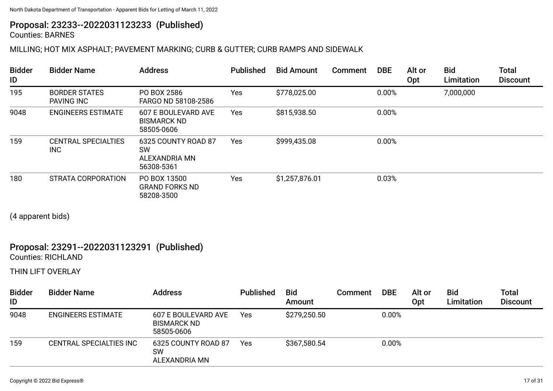# Proposal: 23233--2022031123233 (Published)

Counties: BARNES

### MILLING; HOT MIX ASPHALT; PAVEMENT MARKING; CURB & GUTTER; CURB RAMPS AND SIDEWALK

| <b>Bidder</b><br>ID | <b>Bidder Name</b>                        | <b>Address</b>                                                  | <b>Published</b> | <b>Bid Amount</b> | Comment | <b>DBE</b> | Alt or<br>Opt | <b>Bid</b><br>Limitation | <b>Total</b><br><b>Discount</b> |
|---------------------|-------------------------------------------|-----------------------------------------------------------------|------------------|-------------------|---------|------------|---------------|--------------------------|---------------------------------|
| 195                 | <b>BORDER STATES</b><br><b>PAVING INC</b> | PO BOX 2586<br>FARGO ND 58108-2586                              | Yes              | \$778,025.00      |         | 0.00%      |               | 7,000,000                |                                 |
| 9048                | <b>ENGINEERS ESTIMATE</b>                 | 607 E BOULEVARD AVE<br><b>BISMARCK ND</b><br>58505-0606         | Yes              | \$815,938.50      |         | 0.00%      |               |                          |                                 |
| 159                 | <b>CENTRAL SPECIALTIES</b><br><b>INC</b>  | 6325 COUNTY ROAD 87<br><b>SW</b><br>ALEXANDRIA MN<br>56308-5361 | Yes              | \$999,435.08      |         | 0.00%      |               |                          |                                 |
| 180                 | STRATA CORPORATION                        | PO BOX 13500<br><b>GRAND FORKS ND</b><br>58208-3500             | Yes              | \$1,257,876.01    |         | 0.03%      |               |                          |                                 |

(4 apparent bids)

#### Proposal: 23291--2022031123291 (Published) Counties: RICHLAND

THIN LIFT OVERLAY

| <b>Bidder</b><br>ID | <b>Bidder Name</b>        | Address                                                 | <b>Published</b> | <b>Bid</b><br>Amount | Comment | <b>DBE</b> | Alt or<br>0pt | <b>Bid</b><br>Limitation | <b>Total</b><br><b>Discount</b> |
|---------------------|---------------------------|---------------------------------------------------------|------------------|----------------------|---------|------------|---------------|--------------------------|---------------------------------|
| 9048                | <b>ENGINEERS ESTIMATE</b> | 607 E BOULEVARD AVE<br><b>BISMARCK ND</b><br>58505-0606 | Yes              | \$279,250.50         |         | 0.00%      |               |                          |                                 |
| 159                 | CENTRAL SPECIALTIES INC   | 6325 COUNTY ROAD 87<br><b>SW</b><br>ALEXANDRIA MN       | Yes              | \$367,580.54         |         | 0.00%      |               |                          |                                 |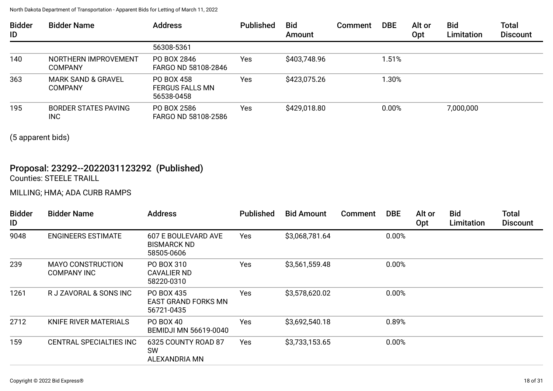| <b>Bidder</b><br>ID | <b>Bidder Name</b>                              | <b>Address</b>                                     | <b>Published</b> | <b>Bid</b><br>Amount | Comment | <b>DBE</b> | Alt or<br>Opt | <b>Bid</b><br>Limitation | <b>Total</b><br><b>Discount</b> |
|---------------------|-------------------------------------------------|----------------------------------------------------|------------------|----------------------|---------|------------|---------------|--------------------------|---------------------------------|
|                     |                                                 | 56308-5361                                         |                  |                      |         |            |               |                          |                                 |
| 140                 | NORTHERN IMPROVEMENT<br><b>COMPANY</b>          | PO BOX 2846<br>FARGO ND 58108-2846                 | Yes              | \$403,748.96         |         | l.51%      |               |                          |                                 |
| 363                 | <b>MARK SAND &amp; GRAVEL</b><br><b>COMPANY</b> | PO BOX 458<br><b>FERGUS FALLS MN</b><br>56538-0458 | Yes              | \$423,075.26         |         | l.30%      |               |                          |                                 |
| 195                 | <b>BORDER STATES PAVING</b><br><b>INC</b>       | PO BOX 2586<br>FARGO ND 58108-2586                 | Yes              | \$429,018.80         |         | 0.00%      |               | 7,000,000                |                                 |

(5 apparent bids)

### Proposal: 23292--2022031123292 (Published) Counties: STEELE TRAILL

## MILLING; HMA; ADA CURB RAMPS

| <b>Bidder</b><br>ID | <b>Bidder Name</b>                             | <b>Address</b>                                          | <b>Published</b> | <b>Bid Amount</b> | Comment | <b>DBE</b> | Alt or<br>Opt | <b>Bid</b><br>Limitation | <b>Total</b><br><b>Discount</b> |
|---------------------|------------------------------------------------|---------------------------------------------------------|------------------|-------------------|---------|------------|---------------|--------------------------|---------------------------------|
| 9048                | <b>ENGINEERS ESTIMATE</b>                      | 607 E BOULEVARD AVE<br><b>BISMARCK ND</b><br>58505-0606 | Yes              | \$3,068,781.64    |         | 0.00%      |               |                          |                                 |
| 239                 | <b>MAYO CONSTRUCTION</b><br><b>COMPANY INC</b> | PO BOX 310<br>CAVALIER ND<br>58220-0310                 | Yes              | \$3,561,559.48    |         | 0.00%      |               |                          |                                 |
| 1261                | R J ZAVORAL & SONS INC                         | PO BOX 435<br>EAST GRAND FORKS MN<br>56721-0435         | Yes              | \$3,578,620.02    |         | 0.00%      |               |                          |                                 |
| 2712                | <b>KNIFE RIVER MATERIALS</b>                   | PO BOX 40<br><b>BEMIDJI MN 56619-0040</b>               | Yes              | \$3,692,540.18    |         | 0.89%      |               |                          |                                 |
| 159                 | <b>CENTRAL SPECIALTIES INC</b>                 | 6325 COUNTY ROAD 87<br><b>SW</b><br>ALEXANDRIA MN       | <b>Yes</b>       | \$3,733,153.65    |         | 0.00%      |               |                          |                                 |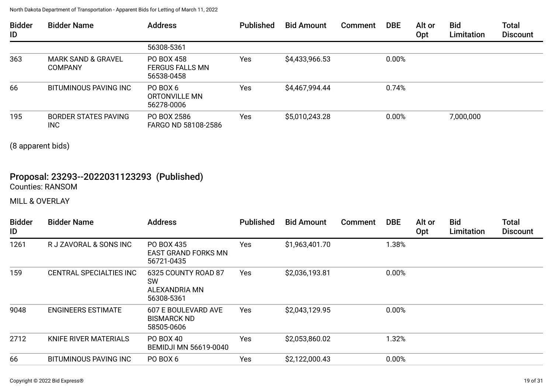| <b>Bidder</b><br>ID | <b>Bidder Name</b>                              | <b>Address</b>                                     | <b>Published</b> | <b>Bid Amount</b> | Comment | <b>DBE</b> | Alt or<br><b>Opt</b> | <b>Bid</b><br>Limitation | Total<br><b>Discount</b> |
|---------------------|-------------------------------------------------|----------------------------------------------------|------------------|-------------------|---------|------------|----------------------|--------------------------|--------------------------|
|                     |                                                 | 56308-5361                                         |                  |                   |         |            |                      |                          |                          |
| 363                 | <b>MARK SAND &amp; GRAVEL</b><br><b>COMPANY</b> | PO BOX 458<br><b>FERGUS FALLS MN</b><br>56538-0458 | Yes              | \$4,433,966.53    |         | 0.00%      |                      |                          |                          |
| 66                  | BITUMINOUS PAVING INC                           | PO BOX 6<br>ORTONVILLE MN<br>56278-0006            | Yes              | \$4,467,994.44    |         | 0.74%      |                      |                          |                          |
| 195                 | <b>BORDER STATES PAVING</b><br>INC              | PO BOX 2586<br>FARGO ND 58108-2586                 | Yes              | \$5,010,243.28    |         | 0.00%      |                      | 7,000,000                |                          |

(8 apparent bids)

### Proposal: 23293--2022031123293 (Published) Counties: RANSOM

MILL & OVERLAY

| <b>Bidder</b><br>ID | <b>Bidder Name</b>             | <b>Address</b>                                                  | <b>Published</b> | <b>Bid Amount</b> | <b>Comment</b> | <b>DBE</b> | Alt or<br>Opt | <b>Bid</b><br>Limitation | <b>Total</b><br><b>Discount</b> |
|---------------------|--------------------------------|-----------------------------------------------------------------|------------------|-------------------|----------------|------------|---------------|--------------------------|---------------------------------|
| 1261                | R J ZAVORAL & SONS INC         | PO BOX 435<br><b>EAST GRAND FORKS MN</b><br>56721-0435          | Yes              | \$1,963,401.70    |                | 1.38%      |               |                          |                                 |
| 159                 | <b>CENTRAL SPECIALTIES INC</b> | 6325 COUNTY ROAD 87<br><b>SW</b><br>ALEXANDRIA MN<br>56308-5361 | Yes              | \$2,036,193.81    |                | 0.00%      |               |                          |                                 |
| 9048                | <b>ENGINEERS ESTIMATE</b>      | 607 E BOULEVARD AVE<br><b>BISMARCK ND</b><br>58505-0606         | Yes              | \$2,043,129.95    |                | 0.00%      |               |                          |                                 |
| 2712                | KNIFE RIVER MATERIALS          | PO BOX 40<br><b>BEMIDJI MN 56619-0040</b>                       | Yes              | \$2,053,860.02    |                | 1.32%      |               |                          |                                 |
| 66                  | BITUMINOUS PAVING INC          | PO BOX 6                                                        | Yes              | \$2,122,000.43    |                | 0.00%      |               |                          |                                 |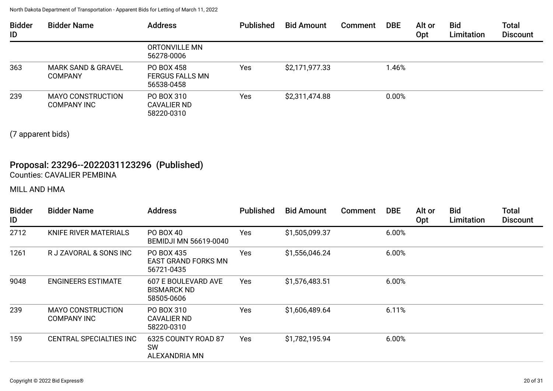| <b>Bidder</b><br>ID | <b>Bidder Name</b>                              | <b>Address</b>                                     | <b>Published</b> | <b>Bid Amount</b> | Comment | <b>DBE</b> | Alt or<br>Opt | <b>Bid</b><br>Limitation | <b>Total</b><br><b>Discount</b> |
|---------------------|-------------------------------------------------|----------------------------------------------------|------------------|-------------------|---------|------------|---------------|--------------------------|---------------------------------|
|                     |                                                 | ORTONVILLE MN<br>56278-0006                        |                  |                   |         |            |               |                          |                                 |
| 363                 | <b>MARK SAND &amp; GRAVEL</b><br><b>COMPANY</b> | PO BOX 458<br><b>FERGUS FALLS MN</b><br>56538-0458 | Yes              | \$2,171,977.33    |         | 1.46%      |               |                          |                                 |
| 239                 | <b>MAYO CONSTRUCTION</b><br><b>COMPANY INC</b>  | PO BOX 310<br>CAVALIER ND<br>58220-0310            | Yes              | \$2,311,474.88    |         | 0.00%      |               |                          |                                 |

(7 apparent bids)

## Proposal: 23296--2022031123296 (Published) Counties: CAVALIER PEMBINA

MILL AND HMA

| <b>Bidder</b><br>ID | <b>Bidder Name</b>                             | <b>Address</b>                                          | <b>Published</b> | <b>Bid Amount</b> | Comment | <b>DBE</b> | Alt or<br>Opt | <b>Bid</b><br>Limitation | <b>Total</b><br><b>Discount</b> |
|---------------------|------------------------------------------------|---------------------------------------------------------|------------------|-------------------|---------|------------|---------------|--------------------------|---------------------------------|
| 2712                | KNIFE RIVER MATERIALS                          | PO BOX 40<br><b>BEMIDJI MN 56619-0040</b>               | Yes              | \$1,505,099.37    |         | 6.00%      |               |                          |                                 |
| 1261                | R J ZAVORAL & SONS INC                         | PO BOX 435<br>EAST GRAND FORKS MN<br>56721-0435         | Yes              | \$1,556,046.24    |         | 6.00%      |               |                          |                                 |
| 9048                | <b>ENGINEERS ESTIMATE</b>                      | 607 E BOULEVARD AVE<br><b>BISMARCK ND</b><br>58505-0606 | Yes              | \$1,576,483.51    |         | 6.00%      |               |                          |                                 |
| 239                 | <b>MAYO CONSTRUCTION</b><br><b>COMPANY INC</b> | PO BOX 310<br>CAVALIER ND<br>58220-0310                 | Yes              | \$1,606,489.64    |         | 6.11%      |               |                          |                                 |
| 159                 | <b>CENTRAL SPECIALTIES INC</b>                 | 6325 COUNTY ROAD 87<br><b>SW</b><br>ALEXANDRIA MN       | Yes              | \$1,782,195.94    |         | 6.00%      |               |                          |                                 |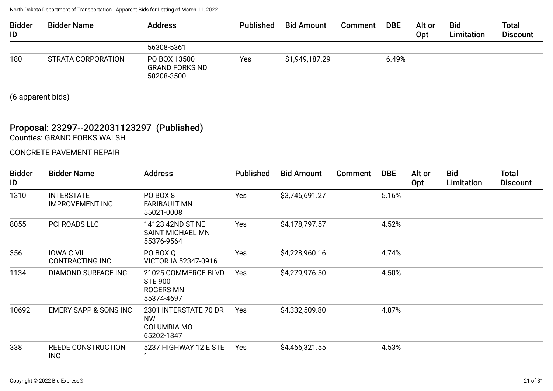| <b>Bidder</b><br>ID | <b>Bidder Name</b> | <b>Address</b>                                      | <b>Published</b> | <b>Bid Amount</b> | Comment | <b>DBE</b> | Alt or<br>Opt | <b>Bid</b><br>Limitation | <b>Total</b><br><b>Discount</b> |
|---------------------|--------------------|-----------------------------------------------------|------------------|-------------------|---------|------------|---------------|--------------------------|---------------------------------|
|                     |                    | 56308-5361                                          |                  |                   |         |            |               |                          |                                 |
| 180                 | STRATA CORPORATION | PO BOX 13500<br><b>GRAND FORKS ND</b><br>58208-3500 | Yes              | \$1,949,187.29    |         | 6.49%      |               |                          |                                 |

(6 apparent bids)

# Proposal: 23297--2022031123297 (Published)

Counties: GRAND FORKS WALSH

CONCRETE PAVEMENT REPAIR

| <b>Bidder</b><br>ID | <b>Bidder Name</b>                          | <b>Address</b>                                                   | <b>Published</b> | <b>Bid Amount</b> | <b>Comment</b> | <b>DBE</b> | Alt or<br>Opt | <b>Bid</b><br>Limitation | <b>Total</b><br><b>Discount</b> |
|---------------------|---------------------------------------------|------------------------------------------------------------------|------------------|-------------------|----------------|------------|---------------|--------------------------|---------------------------------|
| 1310                | <b>INTERSTATE</b><br><b>IMPROVEMENT INC</b> | PO BOX 8<br><b>FARIBAULT MN</b><br>55021-0008                    | <b>Yes</b>       | \$3,746,691.27    |                | 5.16%      |               |                          |                                 |
| 8055                | PCI ROADS LLC                               | 14123 42ND ST NE<br><b>SAINT MICHAEL MN</b><br>55376-9564        | <b>Yes</b>       | \$4,178,797.57    |                | 4.52%      |               |                          |                                 |
| 356                 | <b>IOWA CIVIL</b><br><b>CONTRACTING INC</b> | PO BOX Q<br>VICTOR IA 52347-0916                                 | Yes              | \$4,228,960.16    |                | 4.74%      |               |                          |                                 |
| 1134                | DIAMOND SURFACE INC                         | 21025 COMMERCE BLVD<br><b>STE 900</b><br>ROGERS MN<br>55374-4697 | Yes              | \$4,279,976.50    |                | 4.50%      |               |                          |                                 |
| 10692               | <b>EMERY SAPP &amp; SONS INC</b>            | 2301 INTERSTATE 70 DR<br><b>NW</b><br>COLUMBIA MO<br>65202-1347  | <b>Yes</b>       | \$4,332,509.80    |                | 4.87%      |               |                          |                                 |
| 338                 | <b>REEDE CONSTRUCTION</b><br><b>INC</b>     | 5237 HIGHWAY 12 E STE                                            | Yes              | \$4,466,321.55    |                | 4.53%      |               |                          |                                 |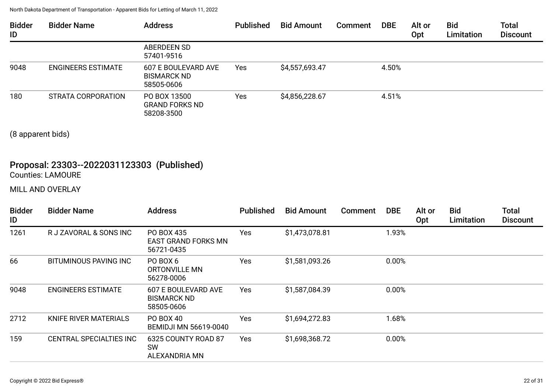| <b>Bidder</b><br>ID | <b>Bidder Name</b>        | <b>Address</b>                                          | <b>Published</b> | <b>Bid Amount</b> | Comment | <b>DBE</b> | Alt or<br>Opt | <b>Bid</b><br>Limitation | <b>Total</b><br><b>Discount</b> |
|---------------------|---------------------------|---------------------------------------------------------|------------------|-------------------|---------|------------|---------------|--------------------------|---------------------------------|
|                     |                           | <b>ABERDEEN SD</b><br>57401-9516                        |                  |                   |         |            |               |                          |                                 |
| 9048                | <b>ENGINEERS ESTIMATE</b> | 607 E BOULEVARD AVE<br><b>BISMARCK ND</b><br>58505-0606 | Yes              | \$4,557,693.47    |         | 4.50%      |               |                          |                                 |
| 180                 | STRATA CORPORATION        | PO BOX 13500<br><b>GRAND FORKS ND</b><br>58208-3500     | Yes              | \$4,856,228.67    |         | 4.51%      |               |                          |                                 |

(8 apparent bids)

### Proposal: 23303--2022031123303 (Published) Counties: LAMOURE

MILL AND OVERLAY

| <b>Bidder</b><br>ID | <b>Bidder Name</b>             | <b>Address</b>                                                 | <b>Published</b> | <b>Bid Amount</b> | Comment | <b>DBE</b> | Alt or<br>Opt | <b>Bid</b><br>Limitation | <b>Total</b><br><b>Discount</b> |
|---------------------|--------------------------------|----------------------------------------------------------------|------------------|-------------------|---------|------------|---------------|--------------------------|---------------------------------|
| 1261                | R J ZAVORAL & SONS INC         | PO BOX 435<br><b>EAST GRAND FORKS MN</b><br>56721-0435         | Yes              | \$1,473,078.81    |         | 1.93%      |               |                          |                                 |
| 66                  | <b>BITUMINOUS PAVING INC</b>   | PO BOX 6<br>ORTONVILLE MN<br>56278-0006                        | Yes              | \$1,581,093.26    |         | 0.00%      |               |                          |                                 |
| 9048                | <b>ENGINEERS ESTIMATE</b>      | <b>607 E BOULEVARD AVE</b><br><b>BISMARCK ND</b><br>58505-0606 | Yes              | \$1,587,084.39    |         | 0.00%      |               |                          |                                 |
| 2712                | KNIFE RIVER MATERIALS          | PO BOX 40<br><b>BEMIDJI MN 56619-0040</b>                      | Yes              | \$1,694,272.83    |         | 1.68%      |               |                          |                                 |
| 159                 | <b>CENTRAL SPECIALTIES INC</b> | 6325 COUNTY ROAD 87<br><b>SW</b><br>ALEXANDRIA MN              | Yes              | \$1,698,368.72    |         | 0.00%      |               |                          |                                 |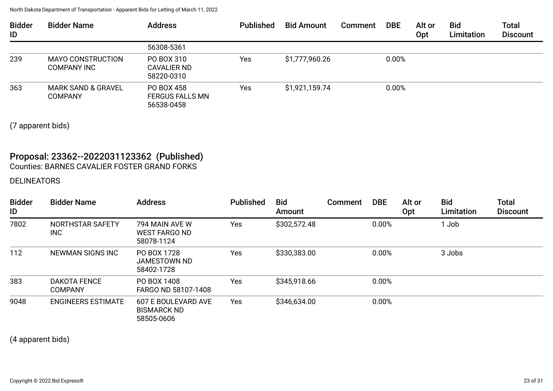| <b>Bidder</b><br>ID | <b>Bidder Name</b>                             | <b>Address</b>                                     | <b>Published</b> | <b>Bid Amount</b> | <b>Comment</b> | <b>DBE</b> | Alt or<br>Opt | <b>Bid</b><br>Limitation | <b>Total</b><br><b>Discount</b> |
|---------------------|------------------------------------------------|----------------------------------------------------|------------------|-------------------|----------------|------------|---------------|--------------------------|---------------------------------|
|                     |                                                | 56308-5361                                         |                  |                   |                |            |               |                          |                                 |
| 239                 | <b>MAYO CONSTRUCTION</b><br><b>COMPANY INC</b> | PO BOX 310<br><b>CAVALIER ND</b><br>58220-0310     | Yes              | \$1,777,960.26    |                | 0.00%      |               |                          |                                 |
| 363                 | MARK SAND & GRAVEL<br><b>COMPANY</b>           | PO BOX 458<br><b>FERGUS FALLS MN</b><br>56538-0458 | Yes              | \$1,921,159.74    |                | 0.00%      |               |                          |                                 |

(7 apparent bids)

# Proposal: 23362--2022031123362 (Published)

Counties: BARNES CAVALIER FOSTER GRAND FORKS

## DELINEATORS

| <b>Bidder</b><br>ID | <b>Bidder Name</b>                    | <b>Address</b>                                          | <b>Published</b> | <b>Bid</b><br>Amount | Comment | <b>DBE</b> | Alt or<br>Opt | <b>Bid</b><br>Limitation | <b>Total</b><br><b>Discount</b> |
|---------------------|---------------------------------------|---------------------------------------------------------|------------------|----------------------|---------|------------|---------------|--------------------------|---------------------------------|
| 7802                | NORTHSTAR SAFETY<br>INC               | 794 MAIN AVE W<br><b>WEST FARGO ND</b><br>58078-1124    | Yes              | \$302,572.48         |         | 0.00%      |               | Job                      |                                 |
| 112                 | NEWMAN SIGNS INC                      | PO BOX 1728<br>JAMESTOWN ND<br>58402-1728               | Yes              | \$330,383.00         |         | 0.00%      |               | 3 Jobs                   |                                 |
| 383                 | <b>DAKOTA FENCE</b><br><b>COMPANY</b> | PO BOX 1408<br>FARGO ND 58107-1408                      | Yes              | \$345,918.66         |         | 0.00%      |               |                          |                                 |
| 9048                | <b>ENGINEERS ESTIMATE</b>             | 607 E BOULEVARD AVE<br><b>BISMARCK ND</b><br>58505-0606 | Yes              | \$346,634.00         |         | 0.00%      |               |                          |                                 |

(4 apparent bids)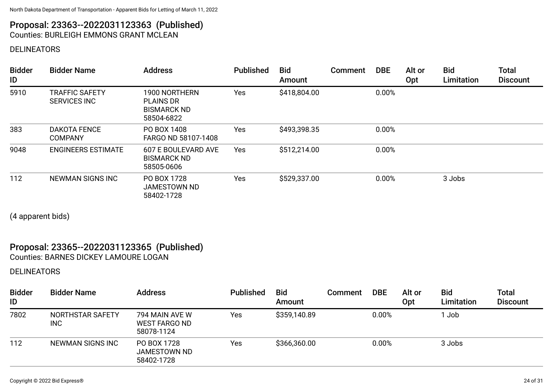### Proposal: 23363--2022031123363 (Published) Counties: BURLEIGH EMMONS GRANT MCLEAN

DELINEATORS

| <b>Bidder</b><br>ID | <b>Bidder Name</b>                           | <b>Address</b>                                                        | <b>Published</b> | <b>Bid</b><br>Amount | Comment | <b>DBE</b> | Alt or<br>Opt | <b>Bid</b><br>Limitation | <b>Total</b><br><b>Discount</b> |
|---------------------|----------------------------------------------|-----------------------------------------------------------------------|------------------|----------------------|---------|------------|---------------|--------------------------|---------------------------------|
| 5910                | <b>TRAFFIC SAFETY</b><br><b>SERVICES INC</b> | 1900 NORTHERN<br><b>PLAINS DR</b><br><b>BISMARCK ND</b><br>58504-6822 | Yes              | \$418,804.00         |         | 0.00%      |               |                          |                                 |
| 383                 | <b>DAKOTA FENCE</b><br><b>COMPANY</b>        | PO BOX 1408<br>FARGO ND 58107-1408                                    | Yes              | \$493,398.35         |         | 0.00%      |               |                          |                                 |
| 9048                | <b>ENGINEERS ESTIMATE</b>                    | 607 E BOULEVARD AVE<br><b>BISMARCK ND</b><br>58505-0606               | Yes              | \$512,214.00         |         | 0.00%      |               |                          |                                 |
| 112                 | NEWMAN SIGNS INC                             | PO BOX 1728<br><b>JAMESTOWN ND</b><br>58402-1728                      | Yes              | \$529,337.00         |         | 0.00%      |               | 3 Jobs                   |                                 |

(4 apparent bids)

# Proposal: 23365--2022031123365 (Published)

Counties: BARNES DICKEY LAMOURE LOGAN

DELINEATORS

| <b>Bidder</b><br>ID | <b>Bidder Name</b>             | <b>Address</b>                                       | <b>Published</b> | <b>Bid</b><br>Amount | Comment | <b>DBE</b> | Alt or<br>Opt | <b>Bid</b><br>Limitation | <b>Total</b><br><b>Discount</b> |
|---------------------|--------------------------------|------------------------------------------------------|------------------|----------------------|---------|------------|---------------|--------------------------|---------------------------------|
| 7802                | NORTHSTAR SAFETY<br><b>INC</b> | 794 MAIN AVE W<br><b>WEST FARGO ND</b><br>58078-1124 | Yes              | \$359,140.89         |         | 0.00%      |               | Job                      |                                 |
| 112                 | <b>NEWMAN SIGNS INC</b>        | PO BOX 1728<br><b>JAMESTOWN ND</b><br>58402-1728     | Yes              | \$366,360.00         |         | 0.00%      |               | 3 Jobs                   |                                 |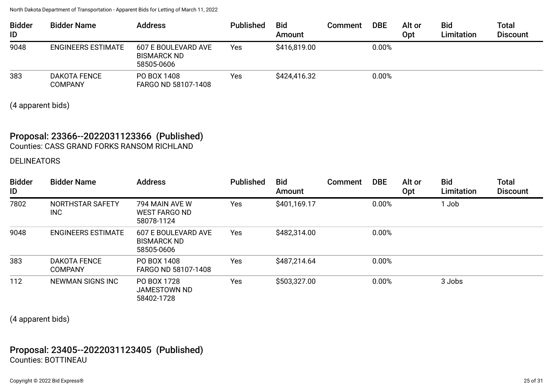| <b>Bidder</b><br>ID | <b>Bidder Name</b>                    | <b>Address</b>                                          | <b>Published</b> | <b>Bid</b><br>Amount | Comment | <b>DBE</b> | Alt or<br>Opt | <b>Bid</b><br>Limitation | Total<br><b>Discount</b> |
|---------------------|---------------------------------------|---------------------------------------------------------|------------------|----------------------|---------|------------|---------------|--------------------------|--------------------------|
| 9048                | <b>ENGINEERS ESTIMATE</b>             | 607 E BOULEVARD AVE<br><b>BISMARCK ND</b><br>58505-0606 | Yes              | \$416,819.00         |         | 0.00%      |               |                          |                          |
| 383                 | <b>DAKOTA FENCE</b><br><b>COMPANY</b> | PO BOX 1408<br>FARGO ND 58107-1408                      | Yes              | \$424,416.32         |         | 0.00%      |               |                          |                          |

(4 apparent bids)

#### Proposal: 23366--2022031123366 (Published) Counties: CASS GRAND FORKS RANSOM RICHLAND

#### DELINEATORS

| <b>Bidder</b><br>ID | <b>Bidder Name</b>                    | <b>Address</b>                                          | <b>Published</b> | <b>Bid</b><br>Amount | Comment | <b>DBE</b> | Alt or<br>Opt | <b>Bid</b><br>Limitation | <b>Total</b><br><b>Discount</b> |
|---------------------|---------------------------------------|---------------------------------------------------------|------------------|----------------------|---------|------------|---------------|--------------------------|---------------------------------|
| 7802                | NORTHSTAR SAFETY<br>INC               | 794 MAIN AVE W<br>WEST FARGO ND<br>58078-1124           | Yes              | \$401,169.17         |         | 0.00%      |               | 1 Job                    |                                 |
| 9048                | <b>ENGINEERS ESTIMATE</b>             | 607 E BOULEVARD AVE<br><b>BISMARCK ND</b><br>58505-0606 | Yes              | \$482,314.00         |         | 0.00%      |               |                          |                                 |
| 383                 | <b>DAKOTA FENCE</b><br><b>COMPANY</b> | PO BOX 1408<br>FARGO ND 58107-1408                      | Yes              | \$487,214.64         |         | 0.00%      |               |                          |                                 |
| 112                 | NEWMAN SIGNS INC                      | PO BOX 1728<br>JAMESTOWN ND<br>58402-1728               | Yes              | \$503,327.00         |         | 0.00%      |               | 3 Jobs                   |                                 |

(4 apparent bids)

### Proposal: 23405--2022031123405 (Published) Counties: BOTTINEAU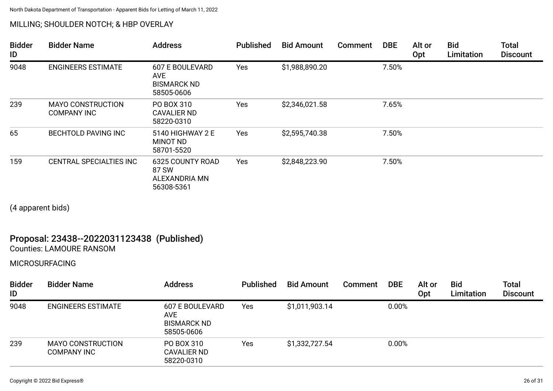#### MILLING; SHOULDER NOTCH; & HBP OVERLAY

| <b>Bidder</b><br>ID | <b>Bidder Name</b>                             | <b>Address</b>                                                           | <b>Published</b> | <b>Bid Amount</b> | Comment | <b>DBE</b> | Alt or<br><b>Opt</b> | <b>Bid</b><br>Limitation | <b>Total</b><br><b>Discount</b> |
|---------------------|------------------------------------------------|--------------------------------------------------------------------------|------------------|-------------------|---------|------------|----------------------|--------------------------|---------------------------------|
| 9048                | <b>ENGINEERS ESTIMATE</b>                      | <b>607 E BOULEVARD</b><br><b>AVE</b><br><b>BISMARCK ND</b><br>58505-0606 | Yes              | \$1,988,890.20    |         | 7.50%      |                      |                          |                                 |
| 239                 | <b>MAYO CONSTRUCTION</b><br><b>COMPANY INC</b> | PO BOX 310<br><b>CAVALIER ND</b><br>58220-0310                           | Yes              | \$2,346,021.58    |         | 7.65%      |                      |                          |                                 |
| 65                  | <b>BECHTOLD PAVING INC</b>                     | 5140 HIGHWAY 2 E<br><b>MINOT ND</b><br>58701-5520                        | Yes              | \$2,595,740.38    |         | 7.50%      |                      |                          |                                 |
| 159                 | <b>CENTRAL SPECIALTIES INC</b>                 | 6325 COUNTY ROAD<br>87 SW<br>ALEXANDRIA MN<br>56308-5361                 | Yes              | \$2,848,223.90    |         | 7.50%      |                      |                          |                                 |

(4 apparent bids)

### Proposal: 23438--2022031123438 (Published) Counties: LAMOURE RANSOM

MICROSURFACING

| <b>Bidder</b><br>ID | <b>Bidder Name</b>                             | <b>Address</b>                                                    | <b>Published</b> | <b>Bid Amount</b> | Comment | <b>DBE</b> | Alt or<br>Opt | <b>Bid</b><br>Limitation | Total<br><b>Discount</b> |
|---------------------|------------------------------------------------|-------------------------------------------------------------------|------------------|-------------------|---------|------------|---------------|--------------------------|--------------------------|
| 9048                | <b>ENGINEERS ESTIMATE</b>                      | 607 E BOULEVARD<br><b>AVE</b><br><b>BISMARCK ND</b><br>58505-0606 | Yes              | \$1,011,903.14    |         | 0.00%      |               |                          |                          |
| 239                 | <b>MAYO CONSTRUCTION</b><br><b>COMPANY INC</b> | PO BOX 310<br><b>CAVALIER ND</b><br>58220-0310                    | <b>Yes</b>       | \$1,332,727.54    |         | 0.00%      |               |                          |                          |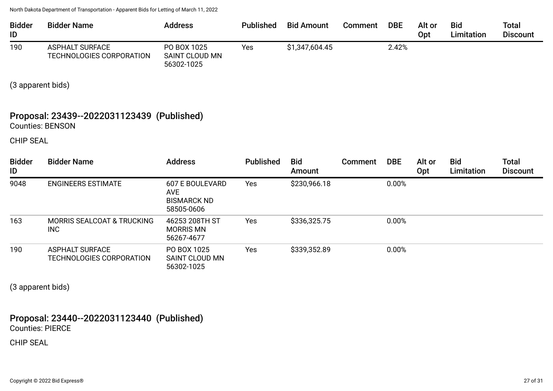| <b>Bidder</b><br>ID | <b>Bidder Name</b>                          | <b>Address</b>                                     | <b>Published</b> | <b>Bid Amount</b> | Comment | <b>DBE</b> | Alt or<br>Opt | <b>Bid</b><br>Limitation | Total<br><b>Discount</b> |
|---------------------|---------------------------------------------|----------------------------------------------------|------------------|-------------------|---------|------------|---------------|--------------------------|--------------------------|
| 190                 | ASPHALT SURFACE<br>TECHNOLOGIES CORPORATION | PO BOX 1025<br><b>SAINT CLOUD MN</b><br>56302-1025 | Yes              | \$1,347,604.45    |         | 2.42%      |               |                          |                          |

(3 apparent bids)

#### Proposal: 23439--2022031123439 (Published) Counties: BENSON

CHIP SEAL

| <b>Bidder</b><br>ID | <b>Bidder Name</b>                                 | <b>Address</b>                                                           | <b>Published</b> | <b>Bid</b><br>Amount | <b>Comment</b> | <b>DBE</b> | Alt or<br>Opt | <b>Bid</b><br>Limitation | <b>Total</b><br><b>Discount</b> |
|---------------------|----------------------------------------------------|--------------------------------------------------------------------------|------------------|----------------------|----------------|------------|---------------|--------------------------|---------------------------------|
| 9048                | <b>ENGINEERS ESTIMATE</b>                          | <b>607 E BOULEVARD</b><br><b>AVE</b><br><b>BISMARCK ND</b><br>58505-0606 | Yes              | \$230,966.18         |                | 0.00%      |               |                          |                                 |
| 163                 | <b>MORRIS SEALCOAT &amp; TRUCKING</b><br>INC       | 46253 208TH ST<br><b>MORRIS MN</b><br>56267-4677                         | Yes              | \$336,325.75         |                | 0.00%      |               |                          |                                 |
| 190                 | <b>ASPHALT SURFACE</b><br>TECHNOLOGIES CORPORATION | PO BOX 1025<br>SAINT CLOUD MN<br>56302-1025                              | Yes              | \$339,352.89         |                | 0.00%      |               |                          |                                 |

(3 apparent bids)

Proposal: 23440--2022031123440 (Published) Counties: PIERCE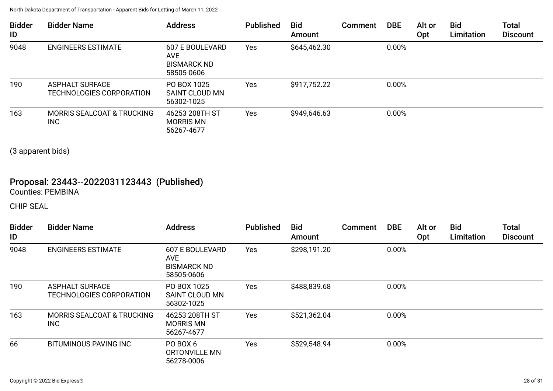| <b>Bidder</b><br>ID | <b>Bidder Name</b>                                  | <b>Address</b>                                                    | <b>Published</b> | <b>Bid</b><br>Amount | <b>Comment</b> | <b>DBE</b> | Alt or<br><b>Opt</b> | <b>Bid</b><br>Limitation | <b>Total</b><br><b>Discount</b> |
|---------------------|-----------------------------------------------------|-------------------------------------------------------------------|------------------|----------------------|----------------|------------|----------------------|--------------------------|---------------------------------|
| 9048                | <b>ENGINEERS ESTIMATE</b>                           | <b>607 E BOULEVARD</b><br>AVE<br><b>BISMARCK ND</b><br>58505-0606 | Yes              | \$645,462.30         |                | 0.00%      |                      |                          |                                 |
| 190                 | <b>ASPHALT SURFACE</b><br>TECHNOLOGIES CORPORATION  | PO BOX 1025<br>SAINT CLOUD MN<br>56302-1025                       | Yes              | \$917,752.22         |                | 0.00%      |                      |                          |                                 |
| 163                 | <b>MORRIS SEALCOAT &amp; TRUCKING</b><br><b>INC</b> | 46253 208TH ST<br><b>MORRIS MN</b><br>56267-4677                  | Yes              | \$949,646.63         |                | 0.00%      |                      |                          |                                 |

(3 apparent bids)

## Proposal: 23443--2022031123443 (Published) Counties: PEMBINA

| <b>Bidder</b><br>ID | <b>Bidder Name</b>                                 | <b>Address</b>                                                    | <b>Published</b> | <b>Bid</b><br>Amount | Comment | <b>DBE</b> | Alt or<br>Opt | <b>Bid</b><br>Limitation | <b>Total</b><br><b>Discount</b> |
|---------------------|----------------------------------------------------|-------------------------------------------------------------------|------------------|----------------------|---------|------------|---------------|--------------------------|---------------------------------|
| 9048                | <b>ENGINEERS ESTIMATE</b>                          | <b>607 E BOULEVARD</b><br>AVE<br><b>BISMARCK ND</b><br>58505-0606 | Yes              | \$298,191.20         |         | 0.00%      |               |                          |                                 |
| 190                 | <b>ASPHALT SURFACE</b><br>TECHNOLOGIES CORPORATION | PO BOX 1025<br><b>SAINT CLOUD MN</b><br>56302-1025                | Yes              | \$488,839.68         |         | 0.00%      |               |                          |                                 |
| 163                 | <b>MORRIS SEALCOAT &amp; TRUCKING</b><br>INC       | 46253 208TH ST<br><b>MORRIS MN</b><br>56267-4677                  | Yes              | \$521,362.04         |         | 0.00%      |               |                          |                                 |
| 66                  | <b>BITUMINOUS PAVING INC</b>                       | PO BOX 6<br><b>ORTONVILLE MN</b><br>56278-0006                    | Yes              | \$529,548.94         |         | 0.00%      |               |                          |                                 |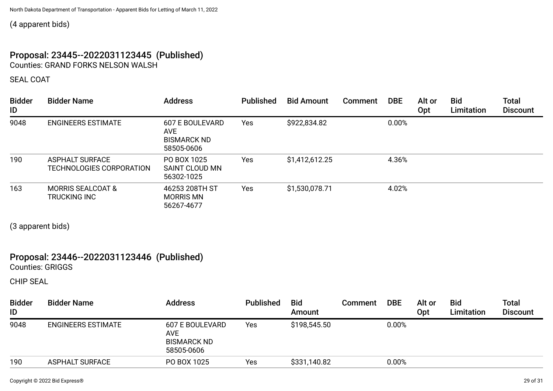(4 apparent bids)

### Proposal: 23445--2022031123445 (Published) Counties: GRAND FORKS NELSON WALSH

SEAL COAT

| <b>Bidder</b><br>ID | <b>Bidder Name</b>                                 | <b>Address</b>                                                    | <b>Published</b> | <b>Bid Amount</b> | <b>Comment</b> | <b>DBE</b> | Alt or<br>Opt | <b>Bid</b><br>Limitation | <b>Total</b><br><b>Discount</b> |
|---------------------|----------------------------------------------------|-------------------------------------------------------------------|------------------|-------------------|----------------|------------|---------------|--------------------------|---------------------------------|
| 9048                | <b>ENGINEERS ESTIMATE</b>                          | 607 E BOULEVARD<br><b>AVE</b><br><b>BISMARCK ND</b><br>58505-0606 | Yes              | \$922,834.82      |                | 0.00%      |               |                          |                                 |
| 190                 | <b>ASPHALT SURFACE</b><br>TECHNOLOGIES CORPORATION | PO BOX 1025<br>SAINT CLOUD MN<br>56302-1025                       | Yes              | \$1,412,612.25    |                | 4.36%      |               |                          |                                 |
| 163                 | <b>MORRIS SEALCOAT &amp;</b><br>TRUCKING INC       | 46253 208TH ST<br><b>MORRIS MN</b><br>56267-4677                  | Yes              | \$1,530,078.71    |                | 4.02%      |               |                          |                                 |

(3 apparent bids)

# Proposal: 23446--2022031123446 (Published)

Counties: GRIGGS

| <b>Bidder</b><br>ID | <b>Bidder Name</b>        | <b>Address</b>                                                           | <b>Published</b> | <b>Bid</b><br>Amount | <b>Comment</b> | <b>DBE</b> | Alt or<br>Opt | <b>Bid</b><br>Limitation | <b>Total</b><br><b>Discount</b> |
|---------------------|---------------------------|--------------------------------------------------------------------------|------------------|----------------------|----------------|------------|---------------|--------------------------|---------------------------------|
| 9048                | <b>ENGINEERS ESTIMATE</b> | <b>607 E BOULEVARD</b><br><b>AVE</b><br><b>BISMARCK ND</b><br>58505-0606 | Yes              | \$198,545.50         |                | 0.00%      |               |                          |                                 |
| 190                 | <b>ASPHALT SURFACE</b>    | PO BOX 1025                                                              | Yes              | \$331,140.82         |                | 0.00%      |               |                          |                                 |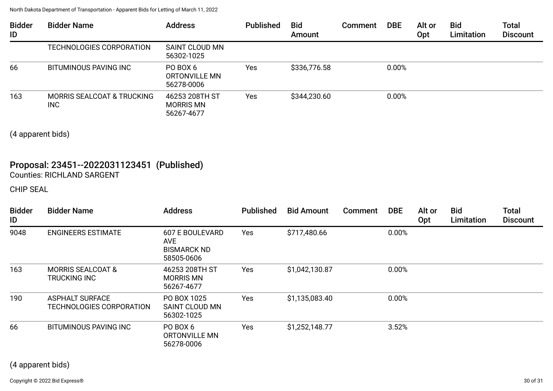| <b>Bidder</b><br>ID | <b>Bidder Name</b>                           | <b>Address</b>                                   | <b>Published</b> | <b>Bid</b><br>Amount | <b>Comment</b> | <b>DBE</b> | Alt or<br>Opt | <b>Bid</b><br>Limitation | <b>Total</b><br><b>Discount</b> |
|---------------------|----------------------------------------------|--------------------------------------------------|------------------|----------------------|----------------|------------|---------------|--------------------------|---------------------------------|
|                     | TECHNOLOGIES CORPORATION                     | <b>SAINT CLOUD MN</b><br>56302-1025              |                  |                      |                |            |               |                          |                                 |
| 66                  | BITUMINOUS PAVING INC                        | PO BOX 6<br>ORTONVILLE MN<br>56278-0006          | <b>Yes</b>       | \$336,776.58         |                | 0.00%      |               |                          |                                 |
| 163                 | <b>MORRIS SEALCOAT &amp; TRUCKING</b><br>INC | 46253 208TH ST<br><b>MORRIS MN</b><br>56267-4677 | Yes              | \$344,230.60         |                | 0.00%      |               |                          |                                 |

(4 apparent bids)

## Proposal: 23451--2022031123451 (Published) Counties: RICHLAND SARGENT

| <b>Bidder</b><br>ID | <b>Bidder Name</b>                                 | <b>Address</b>                                                           | <b>Published</b> | <b>Bid Amount</b> | <b>Comment</b> | <b>DBE</b> | Alt or<br>Opt | <b>Bid</b><br>Limitation | <b>Total</b><br><b>Discount</b> |
|---------------------|----------------------------------------------------|--------------------------------------------------------------------------|------------------|-------------------|----------------|------------|---------------|--------------------------|---------------------------------|
| 9048                | <b>ENGINEERS ESTIMATE</b>                          | <b>607 E BOULEVARD</b><br><b>AVE</b><br><b>BISMARCK ND</b><br>58505-0606 | Yes              | \$717,480.66      |                | 0.00%      |               |                          |                                 |
| 163                 | <b>MORRIS SEALCOAT &amp;</b><br>TRUCKING INC       | 46253 208TH ST<br><b>MORRIS MN</b><br>56267-4677                         | Yes              | \$1,042,130.87    |                | 0.00%      |               |                          |                                 |
| 190                 | <b>ASPHALT SURFACE</b><br>TECHNOLOGIES CORPORATION | PO BOX 1025<br>SAINT CLOUD MN<br>56302-1025                              | <b>Yes</b>       | \$1,135,083.40    |                | 0.00%      |               |                          |                                 |
| 66                  | <b>BITUMINOUS PAVING INC</b>                       | PO BOX 6<br>ORTONVILLE MN<br>56278-0006                                  | Yes              | \$1,252,148.77    |                | 3.52%      |               |                          |                                 |